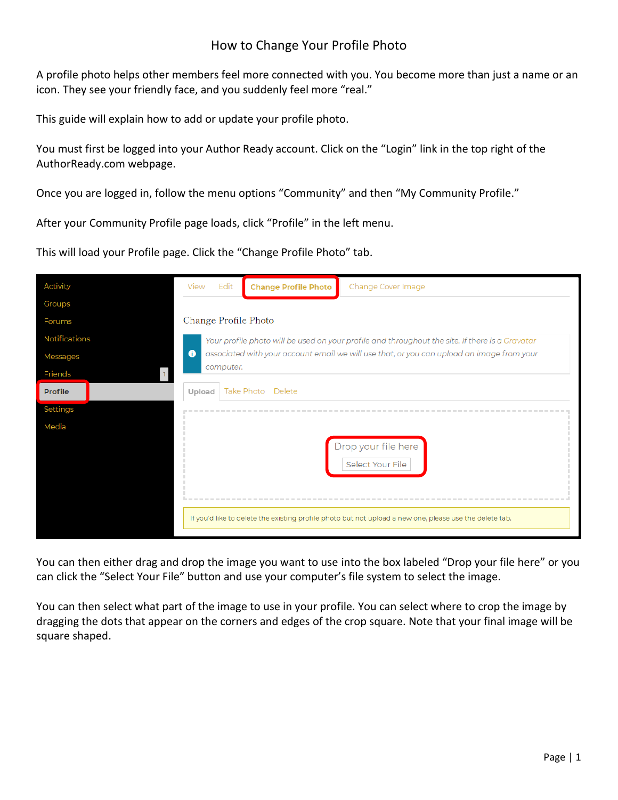## How to Change Your Profile Photo

A profile photo helps other members feel more connected with you. You become more than just a name or an icon. They see your friendly face, and you suddenly feel more "real."

This guide will explain how to add or update your profile photo.

You must first be logged into your Author Ready account. Click on the "Login" link in the top right of the AuthorReady.com webpage.

Once you are logged in, follow the menu options "Community" and then "My Community Profile."

After your Community Profile page loads, click "Profile" in the left menu.

This will load your Profile page. Click the "Change Profile Photo" tab.

| <b>Activity</b> | Edit<br>View                                                                                                                                                                                                           | <b>Change Profile Photo</b> | Change Cover Image                                                                                      |
|-----------------|------------------------------------------------------------------------------------------------------------------------------------------------------------------------------------------------------------------------|-----------------------------|---------------------------------------------------------------------------------------------------------|
| Groups          |                                                                                                                                                                                                                        |                             |                                                                                                         |
| Forums          | Change Profile Photo                                                                                                                                                                                                   |                             |                                                                                                         |
| Notifications   | Your profile photo will be used on your profile and throughout the site. If there is a Gravatar<br>$\bullet$<br>associated with your account email we will use that, or you can upload an image from your<br>computer. |                             |                                                                                                         |
| <b>Messages</b> |                                                                                                                                                                                                                        |                             |                                                                                                         |
| Friends         |                                                                                                                                                                                                                        |                             |                                                                                                         |
| <b>Profile</b>  | Take Photo<br>Delete<br>Upload                                                                                                                                                                                         |                             |                                                                                                         |
| Settings        |                                                                                                                                                                                                                        |                             |                                                                                                         |
| Media           |                                                                                                                                                                                                                        |                             |                                                                                                         |
|                 | Drop your file here<br>Select Your File                                                                                                                                                                                |                             |                                                                                                         |
|                 |                                                                                                                                                                                                                        |                             | If you'd like to delete the existing profile photo but not upload a new one, please use the delete tab. |

You can then either drag and drop the image you want to use into the box labeled "Drop your file here" or you can click the "Select Your File" button and use your computer's file system to select the image.

You can then select what part of the image to use in your profile. You can select where to crop the image by dragging the dots that appear on the corners and edges of the crop square. Note that your final image will be square shaped.